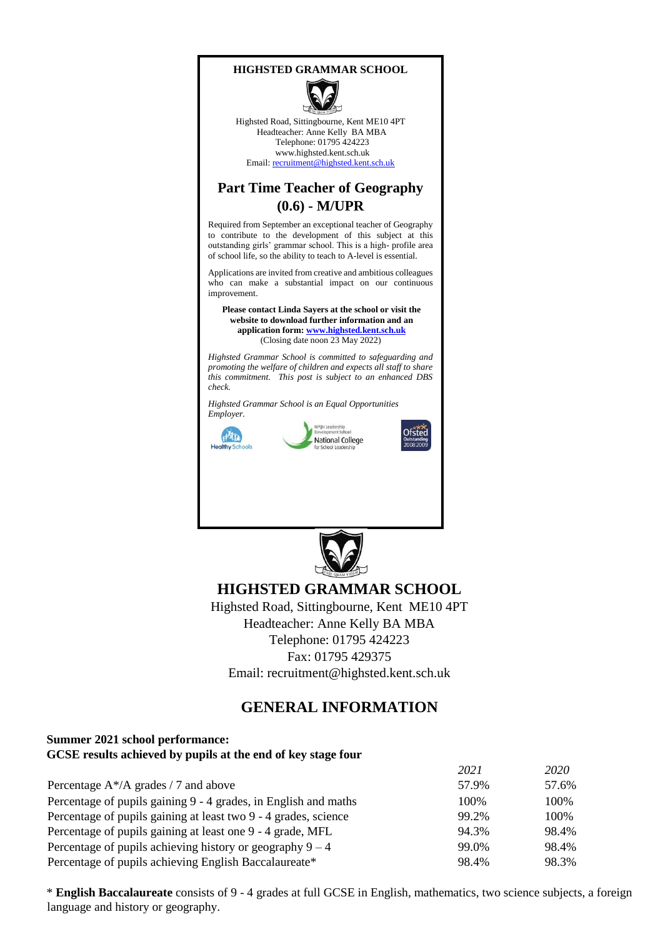



Highsted Road, Sittingbourne, Kent ME10 4PT Headteacher: Anne Kelly BA MBA Telephone: 01795 424223 www.highsted.kent.sch.uk Email: recruitment@highsted.kent.sch.uk

## **Part Time Teacher of Geography (0.6) - M/UPR**

Required from September an exceptional teacher of Geography to contribute to the development of this subject at this outstanding girls' grammar school. This is a high- profile area of school life, so the ability to teach to A-level is essential.

Applications are invited from creative and ambitious colleagues who can make a substantial impact on our continuous improvement.

**Please contact Linda Sayers at the school or visit the website to download further information and an application for[m: www.highsted.kent.sch.uk](http://www.highsted.kent.sch.uk/)** (Closing date noon 23 May 2022)

*Highsted Grammar School is committed to safeguarding and promoting the welfare of children and expects all staff to share this commitment. This post is subject to an enhanced DBS check.* 

*Highsted Grammar School is an Equal Opportunities Employer.* 



PQH Leadershi National College



**Ofsted** 



# **HIGHSTED GRAMMAR SCHOOL**

Highsted Road, Sittingbourne, Kent ME10 4PT Headteacher: Anne Kelly BA MBA Telephone: 01795 424223 Fax: 01795 429375 Email: recruitment@highsted.kent.sch.uk

## **GENERAL INFORMATION**

#### **Summer 2021 school performance: GCSE results achieved by pupils at the end of key stage four**

|                                                                 | 2021  | 2020  |
|-----------------------------------------------------------------|-------|-------|
| Percentage $A^*/A$ grades / 7 and above                         | 57.9% | 57.6% |
| Percentage of pupils gaining 9 - 4 grades, in English and maths | 100%  | 100%  |
| Percentage of pupils gaining at least two 9 - 4 grades, science | 99.2% | 100\% |
| Percentage of pupils gaining at least one 9 - 4 grade, MFL      | 94.3% | 98.4% |
| Percentage of pupils achieving history or geography $9 - 4$     | 99.0% | 98.4% |
| Percentage of pupils achieving English Baccalaureate*           | 98.4% | 98.3% |

\* **English Baccalaureate** consists of 9 - 4 grades at full GCSE in English, mathematics, two science subjects, a foreign language and history or geography.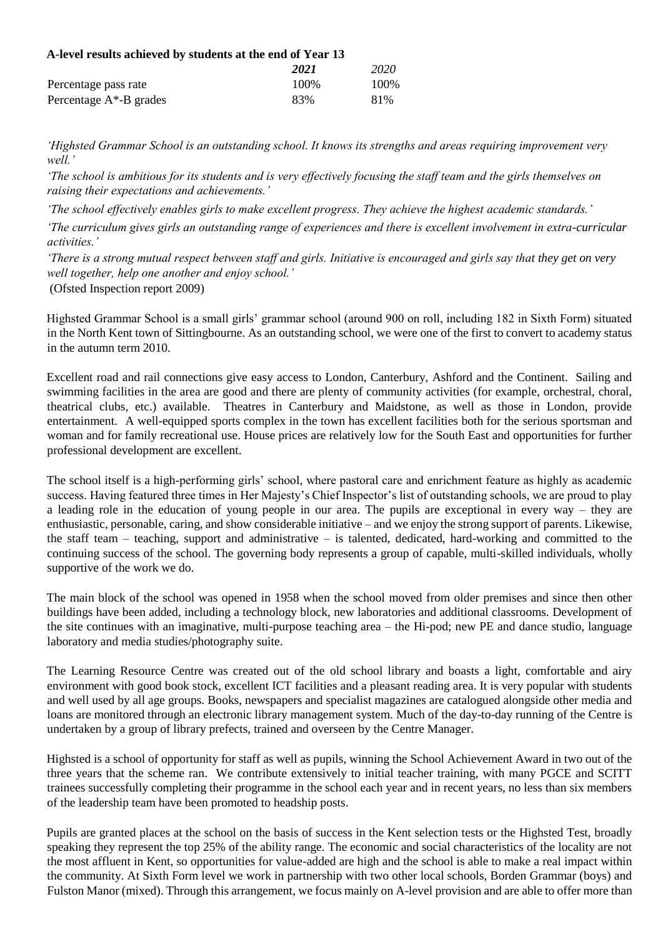| A-level results achieved by students at the end of Year 13 |       |       |  |
|------------------------------------------------------------|-------|-------|--|
|                                                            | 2021  | 2020  |  |
| Percentage pass rate                                       | 100\% | 100\% |  |
| Percentage $A^*$ -B grades                                 | 83%   | 81%   |  |

*'Highsted Grammar School is an outstanding school. It knows its strengths and areas requiring improvement very well.'* 

*'The school is ambitious for its students and is very effectively focusing the staff team and the girls themselves on raising their expectations and achievements.'* 

*'The school effectively enables girls to make excellent progress. They achieve the highest academic standards.'* 

*'The curriculum gives girls an outstanding range of experiences and there is excellent involvement in extra-curricular activities.'* 

*'There is a strong mutual respect between staff and girls. Initiative is encouraged and girls say that they get on very well together, help one another and enjoy school.'* 

(Ofsted Inspection report 2009)

Highsted Grammar School is a small girls' grammar school (around 900 on roll, including 182 in Sixth Form) situated in the North Kent town of Sittingbourne. As an outstanding school, we were one of the first to convert to academy status in the autumn term 2010.

Excellent road and rail connections give easy access to London, Canterbury, Ashford and the Continent. Sailing and swimming facilities in the area are good and there are plenty of community activities (for example, orchestral, choral, theatrical clubs, etc.) available. Theatres in Canterbury and Maidstone, as well as those in London, provide entertainment. A well-equipped sports complex in the town has excellent facilities both for the serious sportsman and woman and for family recreational use. House prices are relatively low for the South East and opportunities for further professional development are excellent.

The school itself is a high-performing girls' school, where pastoral care and enrichment feature as highly as academic success. Having featured three times in Her Majesty's Chief Inspector's list of outstanding schools, we are proud to play a leading role in the education of young people in our area. The pupils are exceptional in every way – they are enthusiastic, personable, caring, and show considerable initiative – and we enjoy the strong support of parents. Likewise, the staff team – teaching, support and administrative – is talented, dedicated, hard-working and committed to the continuing success of the school. The governing body represents a group of capable, multi-skilled individuals, wholly supportive of the work we do.

The main block of the school was opened in 1958 when the school moved from older premises and since then other buildings have been added, including a technology block, new laboratories and additional classrooms. Development of the site continues with an imaginative, multi-purpose teaching area – the Hi-pod; new PE and dance studio, language laboratory and media studies/photography suite.

The Learning Resource Centre was created out of the old school library and boasts a light, comfortable and airy environment with good book stock, excellent ICT facilities and a pleasant reading area. It is very popular with students and well used by all age groups. Books, newspapers and specialist magazines are catalogued alongside other media and loans are monitored through an electronic library management system. Much of the day-to-day running of the Centre is undertaken by a group of library prefects, trained and overseen by the Centre Manager.

Highsted is a school of opportunity for staff as well as pupils, winning the School Achievement Award in two out of the three years that the scheme ran. We contribute extensively to initial teacher training, with many PGCE and SCITT trainees successfully completing their programme in the school each year and in recent years, no less than six members of the leadership team have been promoted to headship posts.

Pupils are granted places at the school on the basis of success in the Kent selection tests or the Highsted Test, broadly speaking they represent the top 25% of the ability range. The economic and social characteristics of the locality are not the most affluent in Kent, so opportunities for value-added are high and the school is able to make a real impact within the community. At Sixth Form level we work in partnership with two other local schools, Borden Grammar (boys) and Fulston Manor (mixed). Through this arrangement, we focus mainly on A-level provision and are able to offer more than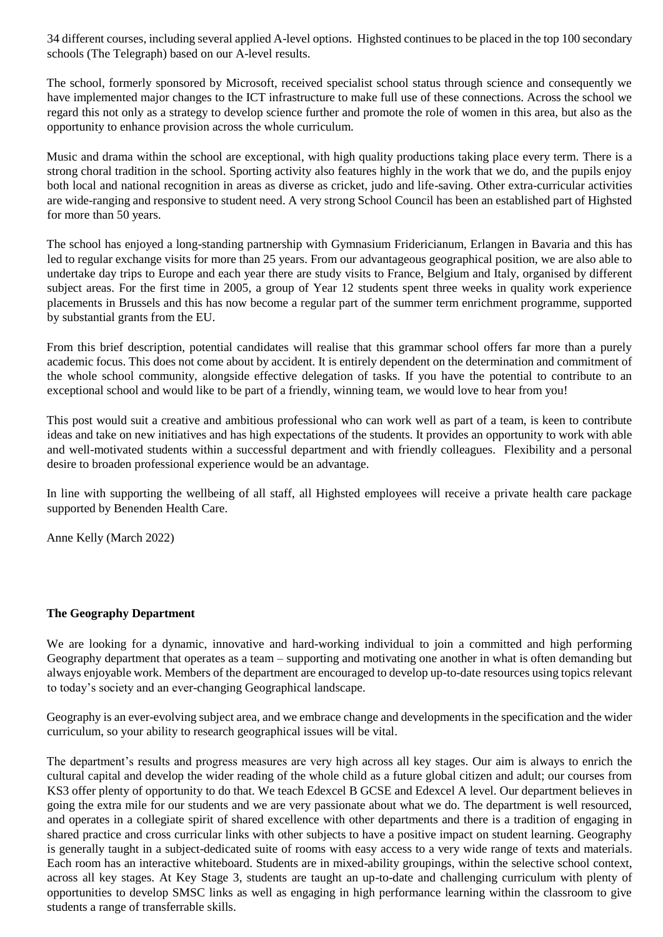34 different courses, including several applied A-level options. Highsted continues to be placed in the top 100 secondary schools (The Telegraph) based on our A-level results.

The school, formerly sponsored by Microsoft, received specialist school status through science and consequently we have implemented major changes to the ICT infrastructure to make full use of these connections. Across the school we regard this not only as a strategy to develop science further and promote the role of women in this area, but also as the opportunity to enhance provision across the whole curriculum.

Music and drama within the school are exceptional, with high quality productions taking place every term. There is a strong choral tradition in the school. Sporting activity also features highly in the work that we do, and the pupils enjoy both local and national recognition in areas as diverse as cricket, judo and life-saving. Other extra-curricular activities are wide-ranging and responsive to student need. A very strong School Council has been an established part of Highsted for more than 50 years.

The school has enjoyed a long-standing partnership with Gymnasium Fridericianum, Erlangen in Bavaria and this has led to regular exchange visits for more than 25 years. From our advantageous geographical position, we are also able to undertake day trips to Europe and each year there are study visits to France, Belgium and Italy, organised by different subject areas. For the first time in 2005, a group of Year 12 students spent three weeks in quality work experience placements in Brussels and this has now become a regular part of the summer term enrichment programme, supported by substantial grants from the EU.

From this brief description, potential candidates will realise that this grammar school offers far more than a purely academic focus. This does not come about by accident. It is entirely dependent on the determination and commitment of the whole school community, alongside effective delegation of tasks. If you have the potential to contribute to an exceptional school and would like to be part of a friendly, winning team, we would love to hear from you!

This post would suit a creative and ambitious professional who can work well as part of a team, is keen to contribute ideas and take on new initiatives and has high expectations of the students. It provides an opportunity to work with able and well-motivated students within a successful department and with friendly colleagues. Flexibility and a personal desire to broaden professional experience would be an advantage.

In line with supporting the wellbeing of all staff, all Highsted employees will receive a private health care package supported by Benenden Health Care.

Anne Kelly (March 2022)

#### **The Geography Department**

We are looking for a dynamic, innovative and hard-working individual to join a committed and high performing Geography department that operates as a team – supporting and motivating one another in what is often demanding but always enjoyable work. Members of the department are encouraged to develop up-to-date resources using topics relevant to today's society and an ever-changing Geographical landscape.

Geography is an ever-evolving subject area, and we embrace change and developments in the specification and the wider curriculum, so your ability to research geographical issues will be vital.

The department's results and progress measures are very high across all key stages. Our aim is always to enrich the cultural capital and develop the wider reading of the whole child as a future global citizen and adult; our courses from KS3 offer plenty of opportunity to do that. We teach Edexcel B GCSE and Edexcel A level. Our department believes in going the extra mile for our students and we are very passionate about what we do. The department is well resourced, and operates in a collegiate spirit of shared excellence with other departments and there is a tradition of engaging in shared practice and cross curricular links with other subjects to have a positive impact on student learning. Geography is generally taught in a subject-dedicated suite of rooms with easy access to a very wide range of texts and materials. Each room has an interactive whiteboard. Students are in mixed-ability groupings, within the selective school context, across all key stages. At Key Stage 3, students are taught an up-to-date and challenging curriculum with plenty of opportunities to develop SMSC links as well as engaging in high performance learning within the classroom to give students a range of transferrable skills.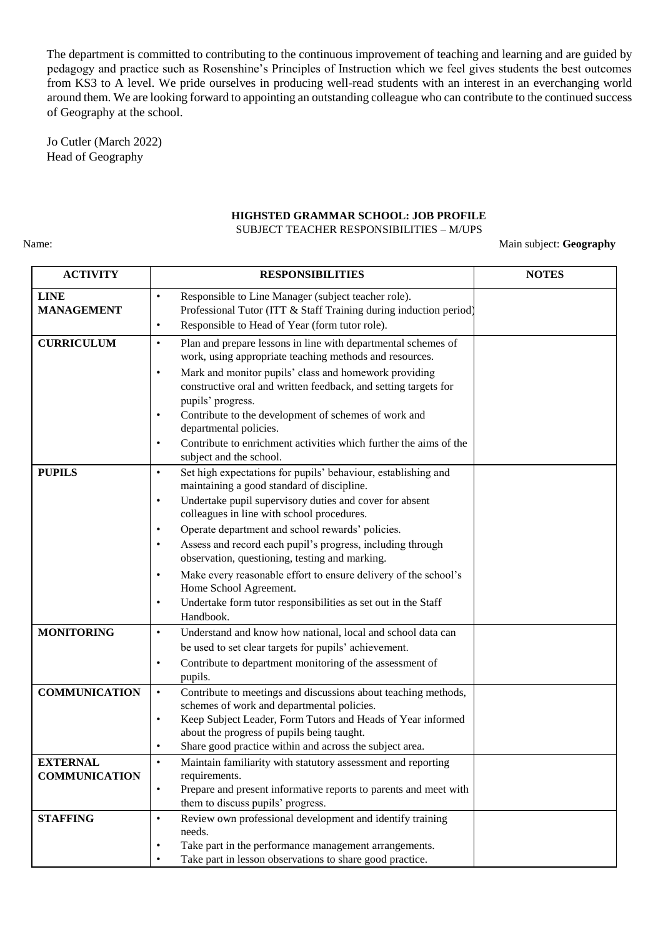The department is committed to contributing to the continuous improvement of teaching and learning and are guided by pedagogy and practice such as Rosenshine's Principles of Instruction which we feel gives students the best outcomes from KS3 to A level. We pride ourselves in producing well-read students with an interest in an everchanging world around them. We are looking forward to appointing an outstanding colleague who can contribute to the continued success of Geography at the school.

Jo Cutler (March 2022) Head of Geography

### **HIGHSTED GRAMMAR SCHOOL: JOB PROFILE**

#### SUBJECT TEACHER RESPONSIBILITIES – M/UPS

#### Name: Main subject: Geography

| <b>ACTIVITY</b>                         | <b>RESPONSIBILITIES</b>                                                                                                                                                                                                                                                                                                                                                                                                                                                                                                                                                                                                      | <b>NOTES</b> |
|-----------------------------------------|------------------------------------------------------------------------------------------------------------------------------------------------------------------------------------------------------------------------------------------------------------------------------------------------------------------------------------------------------------------------------------------------------------------------------------------------------------------------------------------------------------------------------------------------------------------------------------------------------------------------------|--------------|
| <b>LINE</b><br><b>MANAGEMENT</b>        | Responsible to Line Manager (subject teacher role).<br>$\bullet$<br>Professional Tutor (ITT & Staff Training during induction period)<br>Responsible to Head of Year (form tutor role).<br>$\bullet$                                                                                                                                                                                                                                                                                                                                                                                                                         |              |
| <b>CURRICULUM</b>                       | Plan and prepare lessons in line with departmental schemes of<br>$\bullet$<br>work, using appropriate teaching methods and resources.<br>Mark and monitor pupils' class and homework providing<br>٠<br>constructive oral and written feedback, and setting targets for<br>pupils' progress.<br>Contribute to the development of schemes of work and<br>departmental policies.<br>Contribute to enrichment activities which further the aims of the<br>٠<br>subject and the school.                                                                                                                                           |              |
| <b>PUPILS</b>                           | Set high expectations for pupils' behaviour, establishing and<br>$\bullet$<br>maintaining a good standard of discipline.<br>Undertake pupil supervisory duties and cover for absent<br>$\bullet$<br>colleagues in line with school procedures.<br>Operate department and school rewards' policies.<br>٠<br>Assess and record each pupil's progress, including through<br>$\bullet$<br>observation, questioning, testing and marking.<br>Make every reasonable effort to ensure delivery of the school's<br>Home School Agreement.<br>Undertake form tutor responsibilities as set out in the Staff<br>$\bullet$<br>Handbook. |              |
| <b>MONITORING</b>                       | Understand and know how national, local and school data can<br>٠<br>be used to set clear targets for pupils' achievement.<br>Contribute to department monitoring of the assessment of<br>٠<br>pupils.                                                                                                                                                                                                                                                                                                                                                                                                                        |              |
| <b>COMMUNICATION</b>                    | Contribute to meetings and discussions about teaching methods,<br>$\bullet$<br>schemes of work and departmental policies.<br>Keep Subject Leader, Form Tutors and Heads of Year informed<br>$\bullet$<br>about the progress of pupils being taught.<br>Share good practice within and across the subject area.                                                                                                                                                                                                                                                                                                               |              |
| <b>EXTERNAL</b><br><b>COMMUNICATION</b> | Maintain familiarity with statutory assessment and reporting<br>requirements.<br>Prepare and present informative reports to parents and meet with<br>$\bullet$<br>them to discuss pupils' progress.                                                                                                                                                                                                                                                                                                                                                                                                                          |              |
| <b>STAFFING</b>                         | Review own professional development and identify training<br>$\bullet$<br>needs.<br>Take part in the performance management arrangements.<br>$\bullet$<br>Take part in lesson observations to share good practice.<br>$\bullet$                                                                                                                                                                                                                                                                                                                                                                                              |              |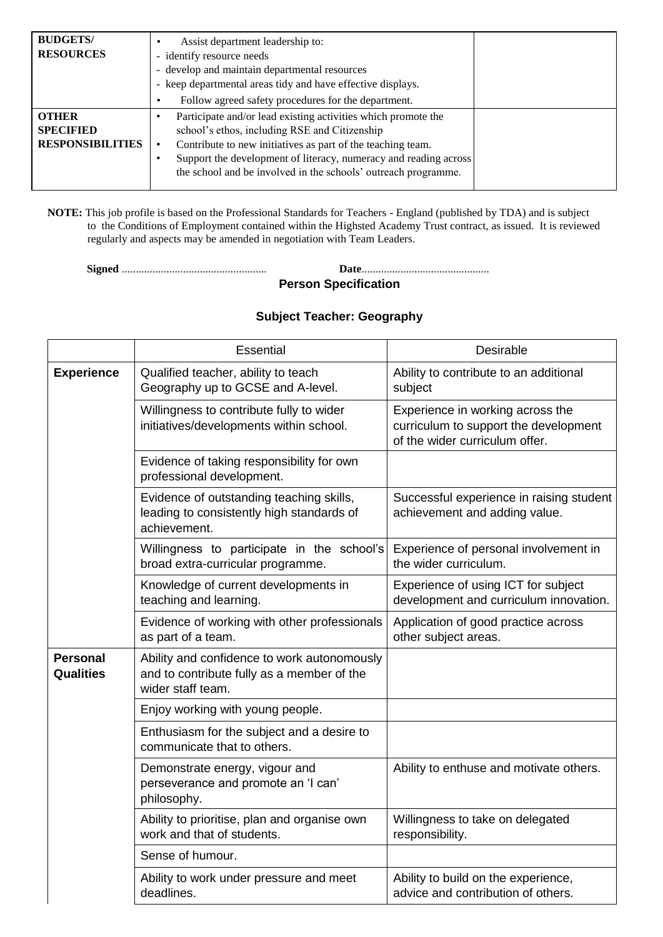| <b>BUDGETS/</b><br><b>RESOURCES</b>                         | Assist department leadership to:<br>- identify resource needs<br>- develop and maintain departmental resources<br>- keep departmental areas tidy and have effective displays.<br>Follow agreed safety procedures for the department.                                                                                |
|-------------------------------------------------------------|---------------------------------------------------------------------------------------------------------------------------------------------------------------------------------------------------------------------------------------------------------------------------------------------------------------------|
| <b>OTHER</b><br><b>SPECIFIED</b><br><b>RESPONSIBILITIES</b> | Participate and/or lead existing activities which promote the<br>school's ethos, including RSE and Citizenship<br>Contribute to new initiatives as part of the teaching team.<br>Support the development of literacy, numeracy and reading across<br>the school and be involved in the schools' outreach programme. |

**NOTE:** This job profile is based on the Professional Standards for Teachers - England (published by TDA) and is subject to the Conditions of Employment contained within the Highsted Academy Trust contract, as issued. It is reviewed regularly and aspects may be amended in negotiation with Team Leaders.

**Signed** .................................................... **Date**.............................................. **Person Specification** 

### **Subject Teacher: Geography**

|                                     | Essential                                                                                                      | Desirable                                                                                                   |
|-------------------------------------|----------------------------------------------------------------------------------------------------------------|-------------------------------------------------------------------------------------------------------------|
| <b>Experience</b>                   | Qualified teacher, ability to teach<br>Geography up to GCSE and A-level.                                       | Ability to contribute to an additional<br>subject                                                           |
|                                     | Willingness to contribute fully to wider<br>initiatives/developments within school.                            | Experience in working across the<br>curriculum to support the development<br>of the wider curriculum offer. |
|                                     | Evidence of taking responsibility for own<br>professional development.                                         |                                                                                                             |
|                                     | Evidence of outstanding teaching skills,<br>leading to consistently high standards of<br>achievement.          | Successful experience in raising student<br>achievement and adding value.                                   |
|                                     | Willingness to participate in the school's<br>broad extra-curricular programme.                                | Experience of personal involvement in<br>the wider curriculum.                                              |
|                                     | Knowledge of current developments in<br>teaching and learning.                                                 | Experience of using ICT for subject<br>development and curriculum innovation.                               |
|                                     | Evidence of working with other professionals<br>as part of a team.                                             | Application of good practice across<br>other subject areas.                                                 |
| <b>Personal</b><br><b>Qualities</b> | Ability and confidence to work autonomously<br>and to contribute fully as a member of the<br>wider staff team. |                                                                                                             |
|                                     | Enjoy working with young people.                                                                               |                                                                                                             |
|                                     | Enthusiasm for the subject and a desire to<br>communicate that to others.                                      |                                                                                                             |
|                                     | Demonstrate energy, vigour and<br>perseverance and promote an 'I can'<br>philosophy.                           | Ability to enthuse and motivate others.                                                                     |
|                                     | Ability to prioritise, plan and organise own<br>work and that of students.                                     | Willingness to take on delegated<br>responsibility.                                                         |
|                                     | Sense of humour.                                                                                               |                                                                                                             |
|                                     | Ability to work under pressure and meet<br>deadlines.                                                          | Ability to build on the experience,<br>advice and contribution of others.                                   |